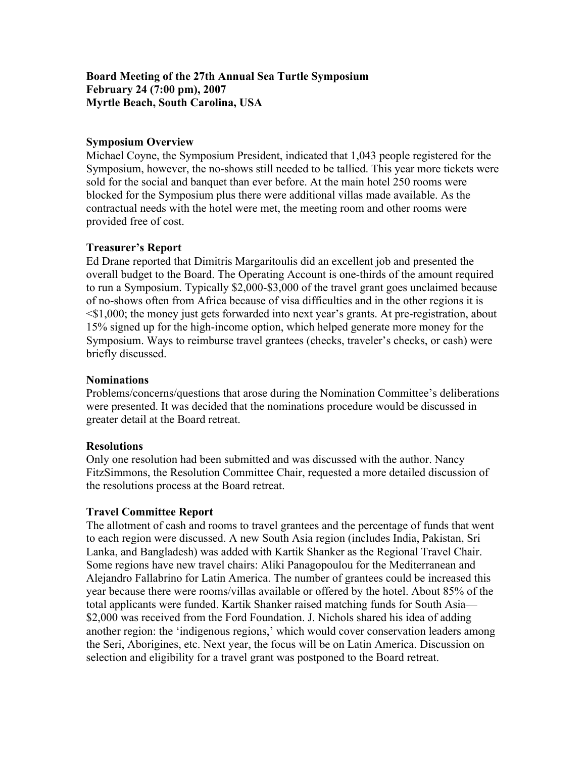# **Board Meeting of the 27th Annual Sea Turtle Symposium February 24 (7:00 pm), 2007 Myrtle Beach, South Carolina, USA**

# **Symposium Overview**

Michael Coyne, the Symposium President, indicated that 1,043 people registered for the Symposium, however, the no-shows still needed to be tallied. This year more tickets were sold for the social and banquet than ever before. At the main hotel 250 rooms were blocked for the Symposium plus there were additional villas made available. As the contractual needs with the hotel were met, the meeting room and other rooms were provided free of cost.

# **Treasurer's Report**

Ed Drane reported that Dimitris Margaritoulis did an excellent job and presented the overall budget to the Board. The Operating Account is one-thirds of the amount required to run a Symposium. Typically \$2,000-\$3,000 of the travel grant goes unclaimed because of no-shows often from Africa because of visa difficulties and in the other regions it is <\$1,000; the money just gets forwarded into next year's grants. At pre-registration, about 15% signed up for the high-income option, which helped generate more money for the Symposium. Ways to reimburse travel grantees (checks, traveler's checks, or cash) were briefly discussed.

#### **Nominations**

Problems/concerns/questions that arose during the Nomination Committee's deliberations were presented. It was decided that the nominations procedure would be discussed in greater detail at the Board retreat.

#### **Resolutions**

Only one resolution had been submitted and was discussed with the author. Nancy FitzSimmons, the Resolution Committee Chair, requested a more detailed discussion of the resolutions process at the Board retreat.

# **Travel Committee Report**

The allotment of cash and rooms to travel grantees and the percentage of funds that went to each region were discussed. A new South Asia region (includes India, Pakistan, Sri Lanka, and Bangladesh) was added with Kartik Shanker as the Regional Travel Chair. Some regions have new travel chairs: Aliki Panagopoulou for the Mediterranean and Alejandro Fallabrino for Latin America. The number of grantees could be increased this year because there were rooms/villas available or offered by the hotel. About 85% of the total applicants were funded. Kartik Shanker raised matching funds for South Asia— \$2,000 was received from the Ford Foundation. J. Nichols shared his idea of adding another region: the 'indigenous regions,' which would cover conservation leaders among the Seri, Aborigines, etc. Next year, the focus will be on Latin America. Discussion on selection and eligibility for a travel grant was postponed to the Board retreat.